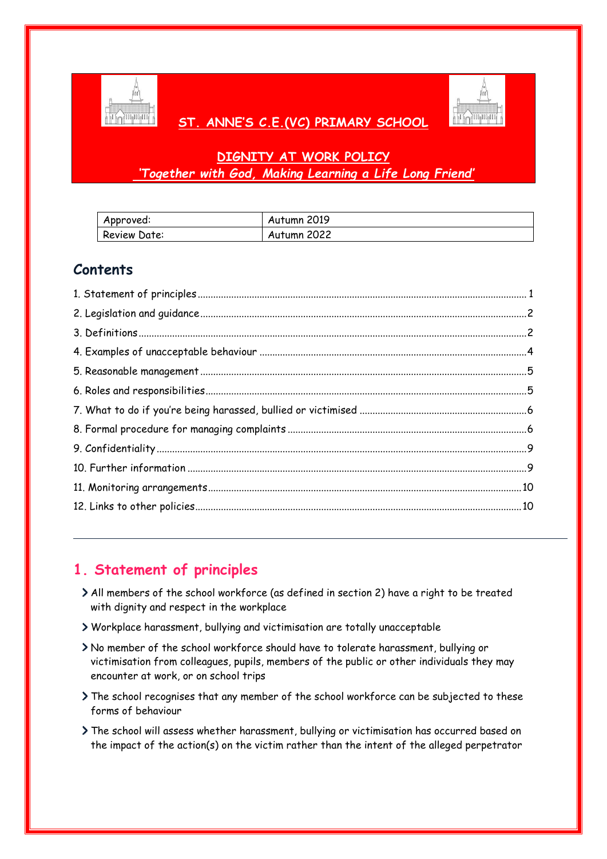

## **ST. ANNE'S C.E.(VC) PRIMARY SCHOOL**



## **DIGNITY AT WORK POLICY** *'Together with God, Making Learning a Life Long Friend'*

| Approved:    | Autumn 2019 |
|--------------|-------------|
| Review Date: | Autumn 2022 |

## **Contents**

# <span id="page-0-0"></span>**1. Statement of principles**

- All members of the school workforce (as defined in section 2) have a right to be treated with dignity and respect in the workplace
- Workplace harassment, bullying and victimisation are totally unacceptable
- No member of the school workforce should have to tolerate harassment, bullying or victimisation from colleagues, pupils, members of the public or other individuals they may encounter at work, or on school trips
- The school recognises that any member of the school workforce can be subjected to these forms of behaviour
- The school will assess whether harassment, bullying or victimisation has occurred based on the impact of the action(s) on the victim rather than the intent of the alleged perpetrator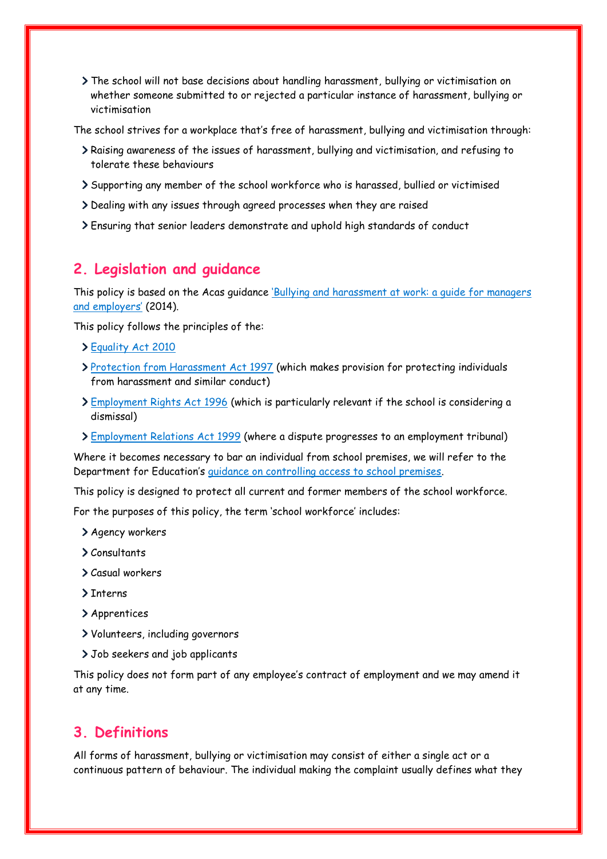The school will not base decisions about handling harassment, bullying or victimisation on whether someone submitted to or rejected a particular instance of harassment, bullying or victimisation

The school strives for a workplace that's free of harassment, bullying and victimisation through:

- Raising awareness of the issues of harassment, bullying and victimisation, and refusing to tolerate these behaviours
- Supporting any member of the school workforce who is harassed, bullied or victimised
- Dealing with any issues through agreed processes when they are raised
- Ensuring that senior leaders demonstrate and uphold high standards of conduct

### <span id="page-1-0"></span>**2. Legislation and guidance**

This policy is based on the Acas guidance ['Bullying and harassment at work: a guide for managers](http://www.acas.org.uk/index.aspx?articleid=1864)  [and employers'](http://www.acas.org.uk/index.aspx?articleid=1864) (2014).

This policy follows the principles of the:

- [Equality Act 2010](https://www.legislation.gov.uk/ukpga/2010/15/contents)
- [Protection from Harassment Act 1997](https://www.legislation.gov.uk/ukpga/1997/40/contents) (which makes provision for protecting individuals from harassment and similar conduct)
- [Employment Rights Act 1996](https://www.legislation.gov.uk/ukpga/1996/18/contents) (which is particularly relevant if the school is considering a dismissal)
- [Employment Relations Act 1999](http://www.legislation.gov.uk/ukpga/1999/26/contents) (where a dispute progresses to an employment tribunal)

Where it becomes necessary to bar an individual from school premises, we will refer to the Department for Education's [guidance on controlling access to school premises.](https://www.gov.uk/government/publications/controlling-access-to-school-premises)

This policy is designed to protect all current and former members of the school workforce.

For the purposes of this policy, the term 'school workforce' includes:

- Agency workers
- Consultants
- Casual workers
- > Tnterns
- Apprentices
- Volunteers, including governors
- > Job seekers and job applicants

This policy does not form part of any employee's contract of employment and we may amend it at any time.

### <span id="page-1-1"></span>**3. Definitions**

All forms of harassment, bullying or victimisation may consist of either a single act or a continuous pattern of behaviour. The individual making the complaint usually defines what they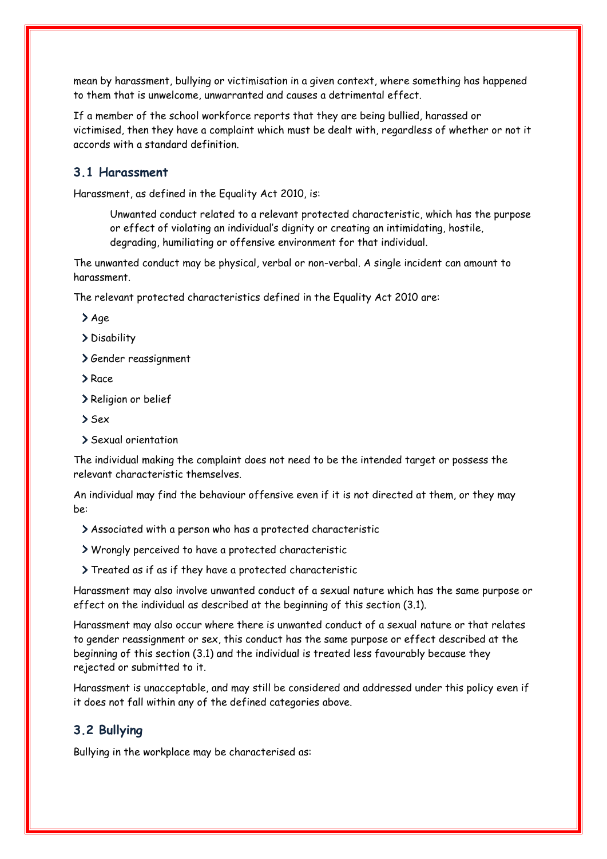mean by harassment, bullying or victimisation in a given context, where something has happened to them that is unwelcome, unwarranted and causes a detrimental effect.

If a member of the school workforce reports that they are being bullied, harassed or victimised, then they have a complaint which must be dealt with, regardless of whether or not it accords with a standard definition.

### **3.1 Harassment**

Harassment, as defined in the Equality Act 2010, is:

Unwanted conduct related to a relevant protected characteristic, which has the purpose or effect of violating an individual's dignity or creating an intimidating, hostile, degrading, humiliating or offensive environment for that individual.

The unwanted conduct may be physical, verbal or non-verbal. A single incident can amount to harassment.

The relevant protected characteristics defined in the Equality Act 2010 are:

> Age

> Disability

Gender reassignment

> Race

> Religion or belief

> Sex

Sexual orientation

The individual making the complaint does not need to be the intended target or possess the relevant characteristic themselves.

An individual may find the behaviour offensive even if it is not directed at them, or they may be:

Associated with a person who has a protected characteristic

Wrongly perceived to have a protected characteristic

Treated as if as if they have a protected characteristic

Harassment may also involve unwanted conduct of a sexual nature which has the same purpose or effect on the individual as described at the beginning of this section (3.1).

Harassment may also occur where there is unwanted conduct of a sexual nature or that relates to gender reassignment or sex, this conduct has the same purpose or effect described at the beginning of this section (3.1) and the individual is treated less favourably because they rejected or submitted to it.

Harassment is unacceptable, and may still be considered and addressed under this policy even if it does not fall within any of the defined categories above.

### **3.2 Bullying**

Bullying in the workplace may be characterised as: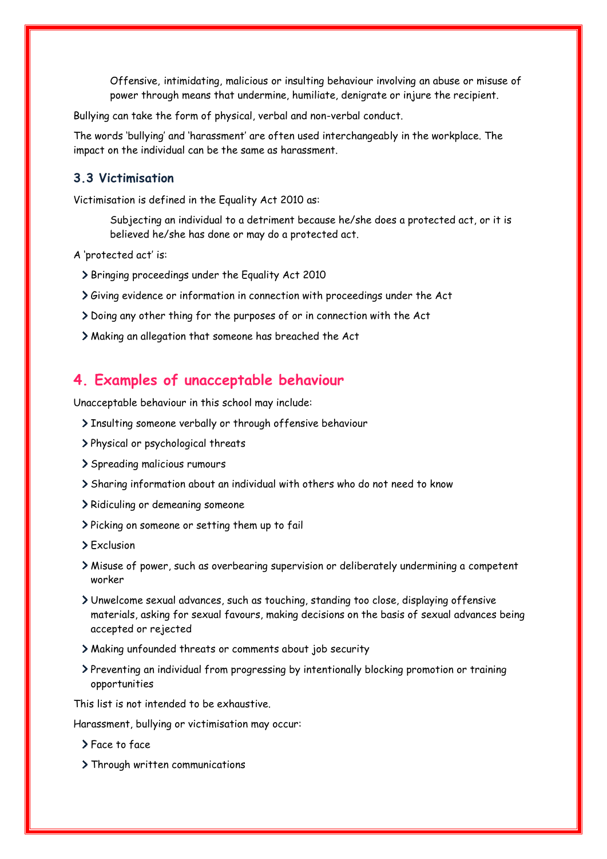Offensive, intimidating, malicious or insulting behaviour involving an abuse or misuse of power through means that undermine, humiliate, denigrate or injure the recipient.

Bullying can take the form of physical, verbal and non-verbal conduct.

The words 'bullying' and 'harassment' are often used interchangeably in the workplace. The impact on the individual can be the same as harassment.

#### **3.3 Victimisation**

Victimisation is defined in the Equality Act 2010 as:

Subjecting an individual to a detriment because he/she does a protected act, or it is believed he/she has done or may do a protected act.

A 'protected act' is:

- Bringing proceedings under the Equality Act 2010
- Giving evidence or information in connection with proceedings under the Act
- Doing any other thing for the purposes of or in connection with the Act
- Making an allegation that someone has breached the Act

### <span id="page-3-0"></span>**4. Examples of unacceptable behaviour**

Unacceptable behaviour in this school may include:

- > Insulting someone verbally or through offensive behaviour
- Physical or psychological threats
- Spreading malicious rumours
- Sharing information about an individual with others who do not need to know
- > Ridiculing or demeaning someone
- Picking on someone or setting them up to fail
- > Exclusion
- Misuse of power, such as overbearing supervision or deliberately undermining a competent worker
- Unwelcome sexual advances, such as touching, standing too close, displaying offensive materials, asking for sexual favours, making decisions on the basis of sexual advances being accepted or rejected
- Making unfounded threats or comments about job security
- Preventing an individual from progressing by intentionally blocking promotion or training opportunities

This list is not intended to be exhaustive.

Harassment, bullying or victimisation may occur:

- Face to face
- > Through written communications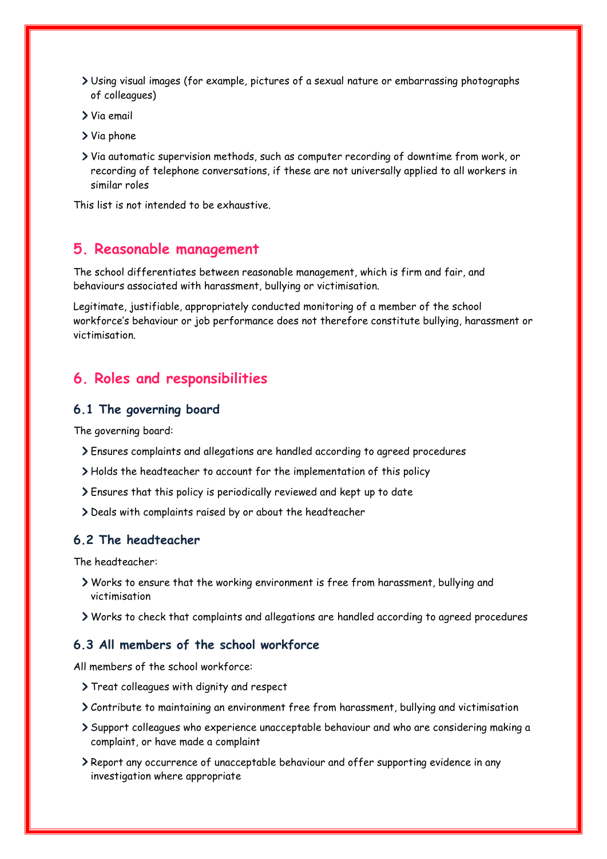- Using visual images (for example, pictures of a sexual nature or embarrassing photographs of colleagues)
- Via email
- Via phone
- Via automatic supervision methods, such as computer recording of downtime from work, or recording of telephone conversations, if these are not universally applied to all workers in similar roles

This list is not intended to be exhaustive.

### <span id="page-4-0"></span>**5. Reasonable management**

The school differentiates between reasonable management, which is firm and fair, and behaviours associated with harassment, bullying or victimisation.

Legitimate, justifiable, appropriately conducted monitoring of a member of the school workforce's behaviour or job performance does not therefore constitute bullying, harassment or victimisation.

### <span id="page-4-1"></span>**6. Roles and responsibilities**

#### **6.1 The governing board**

The governing board:

- Ensures complaints and allegations are handled according to agreed procedures
- Holds the headteacher to account for the implementation of this policy
- Ensures that this policy is periodically reviewed and kept up to date
- Deals with complaints raised by or about the headteacher

#### **6.2 The headteacher**

The headteacher:

- Works to ensure that the working environment is free from harassment, bullying and victimisation
- Works to check that complaints and allegations are handled according to agreed procedures

### **6.3 All members of the school workforce**

All members of the school workforce:

- > Treat colleagues with dignity and respect
- Contribute to maintaining an environment free from harassment, bullying and victimisation
- Support colleagues who experience unacceptable behaviour and who are considering making a complaint, or have made a complaint
- Report any occurrence of unacceptable behaviour and offer supporting evidence in any investigation where appropriate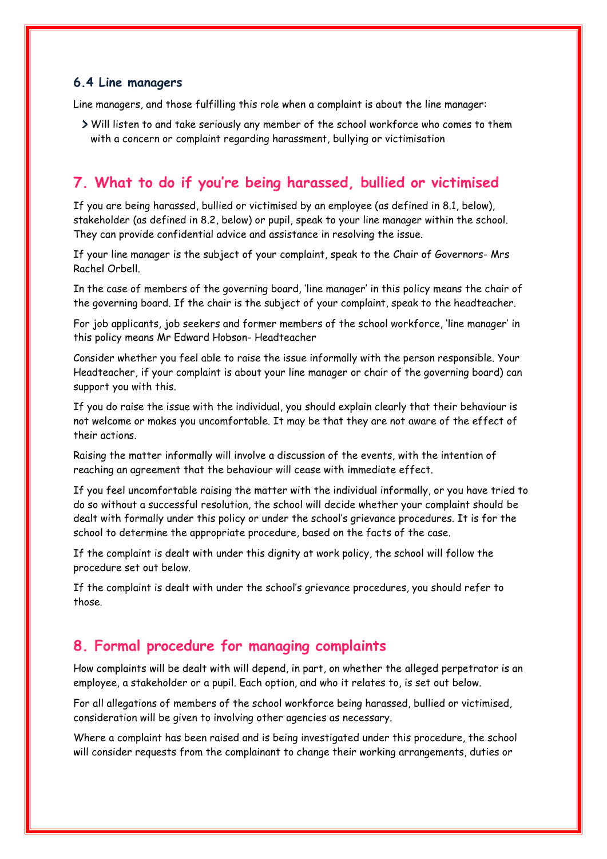#### **6.4 Line managers**

Line managers, and those fulfilling this role when a complaint is about the line manager:

Will listen to and take seriously any member of the school workforce who comes to them with a concern or complaint regarding harassment, bullying or victimisation

## <span id="page-5-0"></span>**7. What to do if you're being harassed, bullied or victimised**

If you are being harassed, bullied or victimised by an employee (as defined in 8.1, below), stakeholder (as defined in 8.2, below) or pupil, speak to your line manager within the school. They can provide confidential advice and assistance in resolving the issue.

If your line manager is the subject of your complaint, speak to the Chair of Governors- Mrs Rachel Orbell.

In the case of members of the governing board, 'line manager' in this policy means the chair of the governing board. If the chair is the subject of your complaint, speak to the headteacher.

For job applicants, job seekers and former members of the school workforce, 'line manager' in this policy means Mr Edward Hobson- Headteacher

Consider whether you feel able to raise the issue informally with the person responsible. Your Headteacher, if your complaint is about your line manager or chair of the governing board) can support you with this.

If you do raise the issue with the individual, you should explain clearly that their behaviour is not welcome or makes you uncomfortable. It may be that they are not aware of the effect of their actions.

Raising the matter informally will involve a discussion of the events, with the intention of reaching an agreement that the behaviour will cease with immediate effect.

If you feel uncomfortable raising the matter with the individual informally, or you have tried to do so without a successful resolution, the school will decide whether your complaint should be dealt with formally under this policy or under the school's grievance procedures. It is for the school to determine the appropriate procedure, based on the facts of the case.

If the complaint is dealt with under this dignity at work policy, the school will follow the procedure set out below.

If the complaint is dealt with under the school's grievance procedures, you should refer to those.

## <span id="page-5-1"></span>**8. Formal procedure for managing complaints**

How complaints will be dealt with will depend, in part, on whether the alleged perpetrator is an employee, a stakeholder or a pupil. Each option, and who it relates to, is set out below.

For all allegations of members of the school workforce being harassed, bullied or victimised, consideration will be given to involving other agencies as necessary.

Where a complaint has been raised and is being investigated under this procedure, the school will consider requests from the complainant to change their working arrangements, duties or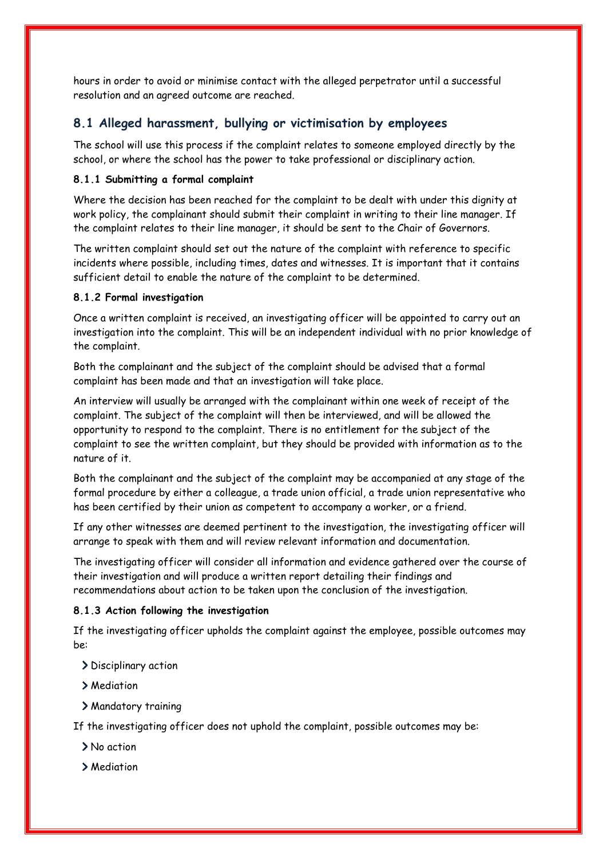hours in order to avoid or minimise contact with the alleged perpetrator until a successful resolution and an agreed outcome are reached.

### **8.1 Alleged harassment, bullying or victimisation by employees**

The school will use this process if the complaint relates to someone employed directly by the school, or where the school has the power to take professional or disciplinary action.

#### **8.1.1 Submitting a formal complaint**

Where the decision has been reached for the complaint to be dealt with under this dignity at work policy, the complainant should submit their complaint in writing to their line manager. If the complaint relates to their line manager, it should be sent to the Chair of Governors.

The written complaint should set out the nature of the complaint with reference to specific incidents where possible, including times, dates and witnesses. It is important that it contains sufficient detail to enable the nature of the complaint to be determined.

#### **8.1.2 Formal investigation**

Once a written complaint is received, an investigating officer will be appointed to carry out an investigation into the complaint. This will be an independent individual with no prior knowledge of the complaint.

Both the complainant and the subject of the complaint should be advised that a formal complaint has been made and that an investigation will take place.

An interview will usually be arranged with the complainant within one week of receipt of the complaint. The subject of the complaint will then be interviewed, and will be allowed the opportunity to respond to the complaint. There is no entitlement for the subject of the complaint to see the written complaint, but they should be provided with information as to the nature of it.

Both the complainant and the subject of the complaint may be accompanied at any stage of the formal procedure by either a colleague, a trade union official, a trade union representative who has been certified by their union as competent to accompany a worker, or a friend.

If any other witnesses are deemed pertinent to the investigation, the investigating officer will arrange to speak with them and will review relevant information and documentation.

The investigating officer will consider all information and evidence gathered over the course of their investigation and will produce a written report detailing their findings and recommendations about action to be taken upon the conclusion of the investigation.

### **8.1.3 Action following the investigation**

If the investigating officer upholds the complaint against the employee, possible outcomes may be:

> Disciplinary action

- Mediation
- Mandatory training

If the investigating officer does not uphold the complaint, possible outcomes may be:

> No action

> Mediation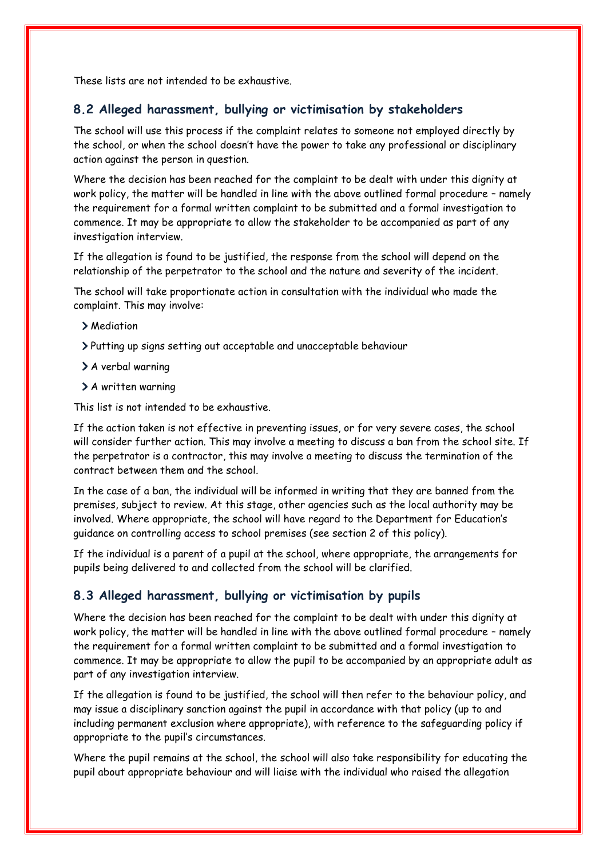These lists are not intended to be exhaustive.

### **8.2 Alleged harassment, bullying or victimisation by stakeholders**

The school will use this process if the complaint relates to someone not employed directly by the school, or when the school doesn't have the power to take any professional or disciplinary action against the person in question.

Where the decision has been reached for the complaint to be dealt with under this dignity at work policy, the matter will be handled in line with the above outlined formal procedure – namely the requirement for a formal written complaint to be submitted and a formal investigation to commence. It may be appropriate to allow the stakeholder to be accompanied as part of any investigation interview.

If the allegation is found to be justified, the response from the school will depend on the relationship of the perpetrator to the school and the nature and severity of the incident.

The school will take proportionate action in consultation with the individual who made the complaint. This may involve:

- > Mediation
- Putting up signs setting out acceptable and unacceptable behaviour
- > A verbal warning
- > A written warning

This list is not intended to be exhaustive.

If the action taken is not effective in preventing issues, or for very severe cases, the school will consider further action. This may involve a meeting to discuss a ban from the school site. If the perpetrator is a contractor, this may involve a meeting to discuss the termination of the contract between them and the school.

In the case of a ban, the individual will be informed in writing that they are banned from the premises, subject to review. At this stage, other agencies such as the local authority may be involved. Where appropriate, the school will have regard to the Department for Education's guidance on controlling access to school premises (see section 2 of this policy).

If the individual is a parent of a pupil at the school, where appropriate, the arrangements for pupils being delivered to and collected from the school will be clarified.

### **8.3 Alleged harassment, bullying or victimisation by pupils**

Where the decision has been reached for the complaint to be dealt with under this dignity at work policy, the matter will be handled in line with the above outlined formal procedure – namely the requirement for a formal written complaint to be submitted and a formal investigation to commence. It may be appropriate to allow the pupil to be accompanied by an appropriate adult as part of any investigation interview.

If the allegation is found to be justified, the school will then refer to the behaviour policy, and may issue a disciplinary sanction against the pupil in accordance with that policy (up to and including permanent exclusion where appropriate), with reference to the safeguarding policy if appropriate to the pupil's circumstances.

Where the pupil remains at the school, the school will also take responsibility for educating the pupil about appropriate behaviour and will liaise with the individual who raised the allegation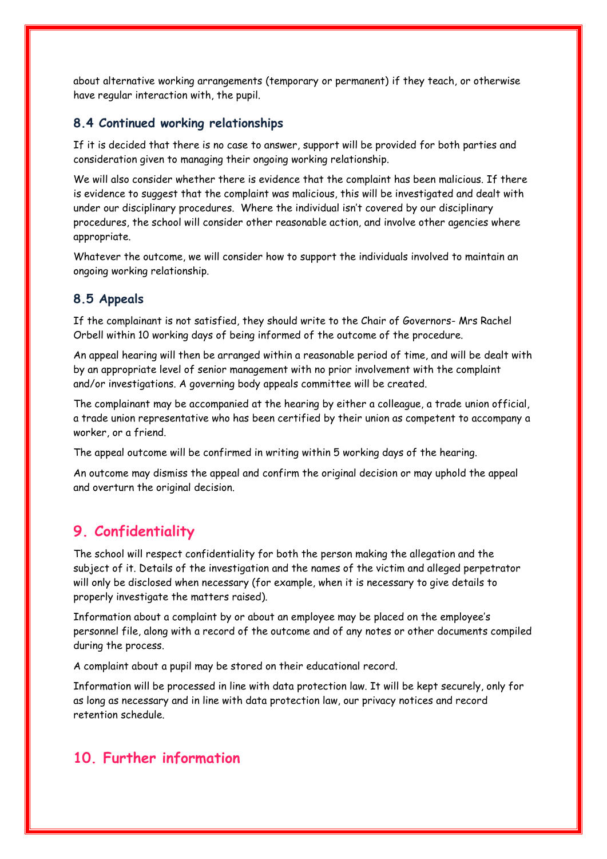about alternative working arrangements (temporary or permanent) if they teach, or otherwise have regular interaction with, the pupil.

#### **8.4 Continued working relationships**

If it is decided that there is no case to answer, support will be provided for both parties and consideration given to managing their ongoing working relationship.

We will also consider whether there is evidence that the complaint has been malicious. If there is evidence to suggest that the complaint was malicious, this will be investigated and dealt with under our disciplinary procedures. Where the individual isn't covered by our disciplinary procedures, the school will consider other reasonable action, and involve other agencies where appropriate.

Whatever the outcome, we will consider how to support the individuals involved to maintain an ongoing working relationship.

#### **8.5 Appeals**

If the complainant is not satisfied, they should write to the Chair of Governors- Mrs Rachel Orbell within 10 working days of being informed of the outcome of the procedure.

An appeal hearing will then be arranged within a reasonable period of time, and will be dealt with by an appropriate level of senior management with no prior involvement with the complaint and/or investigations. A governing body appeals committee will be created.

The complainant may be accompanied at the hearing by either a colleague, a trade union official, a trade union representative who has been certified by their union as competent to accompany a worker, or a friend.

The appeal outcome will be confirmed in writing within 5 working days of the hearing.

An outcome may dismiss the appeal and confirm the original decision or may uphold the appeal and overturn the original decision.

### <span id="page-8-0"></span>**9. Confidentiality**

The school will respect confidentiality for both the person making the allegation and the subject of it. Details of the investigation and the names of the victim and alleged perpetrator will only be disclosed when necessary (for example, when it is necessary to give details to properly investigate the matters raised).

Information about a complaint by or about an employee may be placed on the employee's personnel file, along with a record of the outcome and of any notes or other documents compiled during the process.

A complaint about a pupil may be stored on their educational record.

Information will be processed in line with data protection law. It will be kept securely, only for as long as necessary and in line with data protection law, our privacy notices and record retention schedule.

## <span id="page-8-1"></span>**10. Further information**